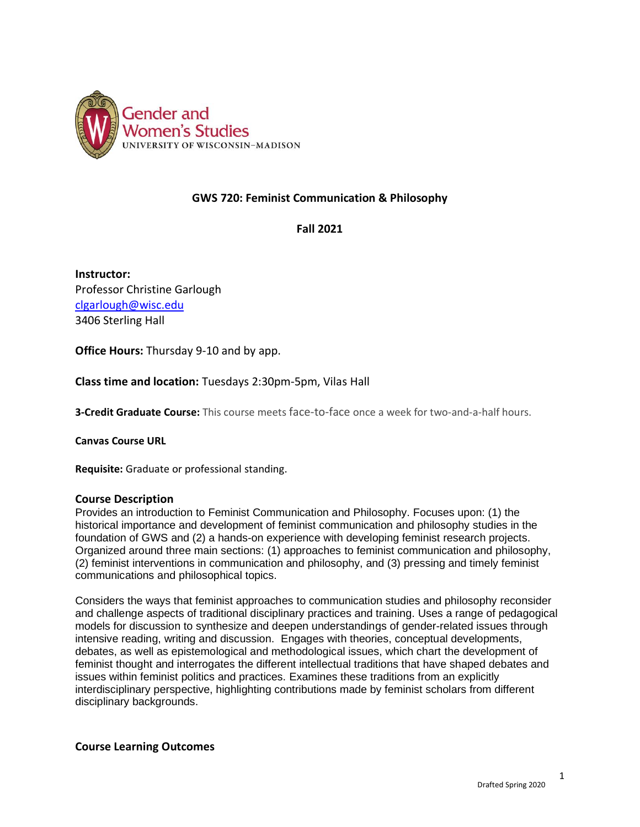

## **GWS 720: Feminist Communication & Philosophy**

**Fall 2021**

**Instructor:**  Professor Christine Garlough [clgarlough@wisc.edu](mailto:clgarlough@wisc.edu) 3406 Sterling Hall

**Office Hours:** Thursday 9-10 and by app.

**Class time and location:** Tuesdays 2:30pm-5pm, Vilas Hall

**3-Credit Graduate Course:** This course meets face-to-face once a week for two-and-a-half hours.

**Canvas Course URL**

**Requisite:** Graduate or professional standing.

#### **Course Description**

Provides an introduction to Feminist Communication and Philosophy. Focuses upon: (1) the historical importance and development of feminist communication and philosophy studies in the foundation of GWS and (2) a hands-on experience with developing feminist research projects. Organized around three main sections: (1) approaches to feminist communication and philosophy, (2) feminist interventions in communication and philosophy, and (3) pressing and timely feminist communications and philosophical topics.

Considers the ways that feminist approaches to communication studies and philosophy reconsider and challenge aspects of traditional disciplinary practices and training. Uses a range of pedagogical models for discussion to synthesize and deepen understandings of gender-related issues through intensive reading, writing and discussion. Engages with theories, conceptual developments, debates, as well as epistemological and methodological issues, which chart the development of feminist thought and interrogates the different intellectual traditions that have shaped debates and issues within feminist politics and practices. Examines these traditions from an explicitly interdisciplinary perspective, highlighting contributions made by feminist scholars from different disciplinary backgrounds.

#### **Course Learning Outcomes**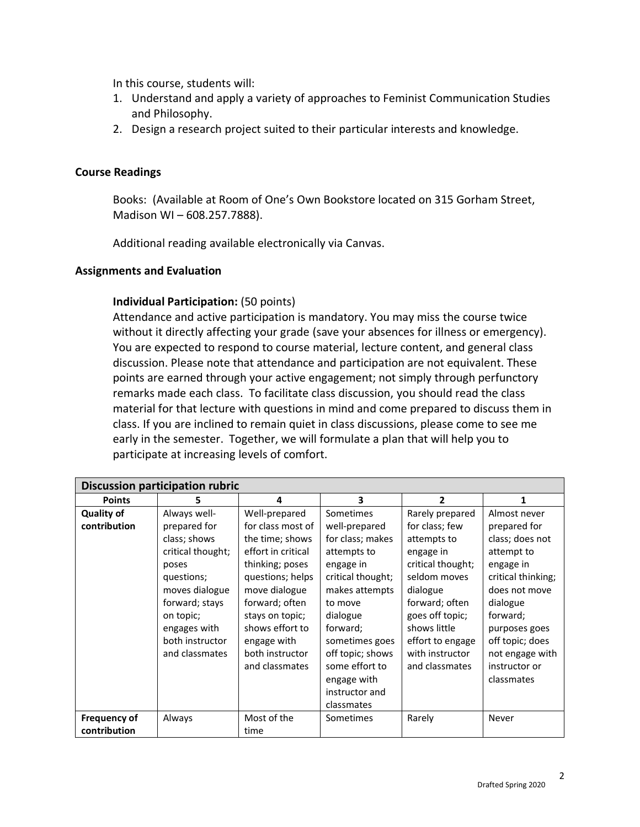In this course, students will:

- 1. Understand and apply a variety of approaches to Feminist Communication Studies and Philosophy.
- 2. Design a research project suited to their particular interests and knowledge.

### **Course Readings**

Books: (Available at Room of One's Own Bookstore located on 315 Gorham Street, Madison WI – 608.257.7888).

Additional reading available electronically via Canvas.

### **Assignments and Evaluation**

### **Individual Participation:** (50 points)

Attendance and active participation is mandatory. You may miss the course twice without it directly affecting your grade (save your absences for illness or emergency). You are expected to respond to course material, lecture content, and general class discussion. Please note that attendance and participation are not equivalent. These points are earned through your active engagement; not simply through perfunctory remarks made each class. To facilitate class discussion, you should read the class material for that lecture with questions in mind and come prepared to discuss them in class. If you are inclined to remain quiet in class discussions, please come to see me early in the semester. Together, we will formulate a plan that will help you to participate at increasing levels of comfort.

| <b>Discussion participation rubric</b> |                   |                    |                   |                   |                    |
|----------------------------------------|-------------------|--------------------|-------------------|-------------------|--------------------|
| <b>Points</b>                          | 5                 | 4                  | 3                 | 2                 | 1                  |
| <b>Quality of</b>                      | Always well-      | Well-prepared      | Sometimes         | Rarely prepared   | Almost never       |
| contribution                           | prepared for      | for class most of  | well-prepared     | for class; few    | prepared for       |
|                                        | class; shows      | the time; shows    | for class; makes  | attempts to       | class; does not    |
|                                        | critical thought; | effort in critical | attempts to       | engage in         | attempt to         |
|                                        | poses             | thinking; poses    | engage in         | critical thought; | engage in          |
|                                        | questions;        | questions; helps   | critical thought; | seldom moves      | critical thinking; |
|                                        | moves dialogue    | move dialogue      | makes attempts    | dialogue          | does not move      |
|                                        | forward; stays    | forward; often     | to move           | forward; often    | dialogue           |
|                                        | on topic;         | stays on topic;    | dialogue          | goes off topic;   | forward;           |
|                                        | engages with      | shows effort to    | forward;          | shows little      | purposes goes      |
|                                        | both instructor   | engage with        | sometimes goes    | effort to engage  | off topic; does    |
|                                        | and classmates    | both instructor    | off topic; shows  | with instructor   | not engage with    |
|                                        |                   | and classmates     | some effort to    | and classmates    | instructor or      |
|                                        |                   |                    | engage with       |                   | classmates         |
|                                        |                   |                    | instructor and    |                   |                    |
|                                        |                   |                    | classmates        |                   |                    |
| <b>Frequency of</b>                    | Always            | Most of the        | Sometimes         | Rarely            | Never              |
| contribution                           |                   | time               |                   |                   |                    |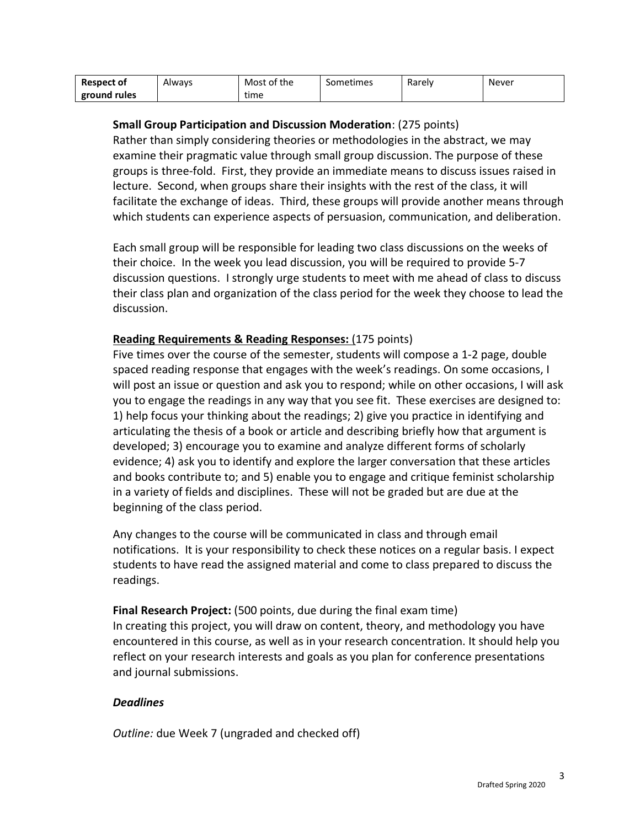| <b>Respect of</b> | Always | Most of the | Sometimes | Rarely | Never |
|-------------------|--------|-------------|-----------|--------|-------|
| ground rules      |        | time        |           |        |       |

## **Small Group Participation and Discussion Moderation**: (275 points)

Rather than simply considering theories or methodologies in the abstract, we may examine their pragmatic value through small group discussion. The purpose of these groups is three-fold. First, they provide an immediate means to discuss issues raised in lecture. Second, when groups share their insights with the rest of the class, it will facilitate the exchange of ideas. Third, these groups will provide another means through which students can experience aspects of persuasion, communication, and deliberation.

Each small group will be responsible for leading two class discussions on the weeks of their choice. In the week you lead discussion, you will be required to provide 5-7 discussion questions. I strongly urge students to meet with me ahead of class to discuss their class plan and organization of the class period for the week they choose to lead the discussion.

## **Reading Requirements & Reading Responses:** (175 points)

Five times over the course of the semester, students will compose a 1-2 page, double spaced reading response that engages with the week's readings. On some occasions, I will post an issue or question and ask you to respond; while on other occasions, I will ask you to engage the readings in any way that you see fit. These exercises are designed to: 1) help focus your thinking about the readings; 2) give you practice in identifying and articulating the thesis of a book or article and describing briefly how that argument is developed; 3) encourage you to examine and analyze different forms of scholarly evidence; 4) ask you to identify and explore the larger conversation that these articles and books contribute to; and 5) enable you to engage and critique feminist scholarship in a variety of fields and disciplines. These will not be graded but are due at the beginning of the class period.

Any changes to the course will be communicated in class and through email notifications. It is your responsibility to check these notices on a regular basis. I expect students to have read the assigned material and come to class prepared to discuss the readings.

**Final Research Project:** (500 points, due during the final exam time) In creating this project, you will draw on content, theory, and methodology you have encountered in this course, as well as in your research concentration. It should help you reflect on your research interests and goals as you plan for conference presentations and journal submissions.

### *Deadlines*

*Outline:* due Week 7 (ungraded and checked off)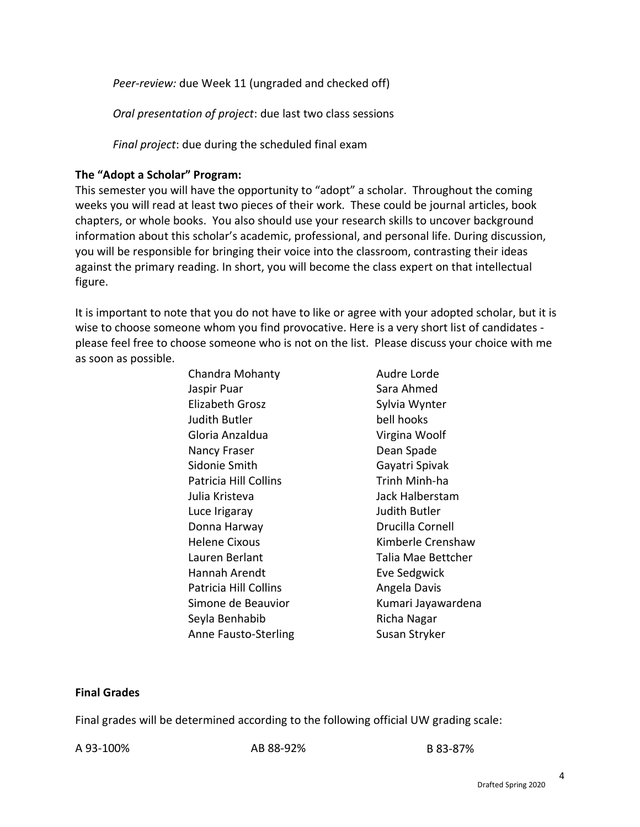*Peer-review:* due Week 11 (ungraded and checked off)

*Oral presentation of project*: due last two class sessions

*Final project*: due during the scheduled final exam

## **The "Adopt a Scholar" Program:**

This semester you will have the opportunity to "adopt" a scholar. Throughout the coming weeks you will read at least two pieces of their work. These could be journal articles, book chapters, or whole books. You also should use your research skills to uncover background information about this scholar's academic, professional, and personal life. During discussion, you will be responsible for bringing their voice into the classroom, contrasting their ideas against the primary reading. In short, you will become the class expert on that intellectual figure.

It is important to note that you do not have to like or agree with your adopted scholar, but it is wise to choose someone whom you find provocative. Here is a very short list of candidates please feel free to choose someone who is not on the list. Please discuss your choice with me as soon as possible.

> Chandra Mohanty **Audre Lorde** Jaspir Puar New Sara Ahmed Elizabeth Grosz Sylvia Wynter Judith Butler bell hooks Gloria Anzaldua Virgina Woolf Nancy Fraser **Dean Spade** Sidonie Smith Gayatri Spivak Patricia Hill Collins Trinh Minh-ha Julia Kristeva Jack Halberstam Luce Irigaray Judith Butler Donna Harway Donna Harway Drucilla Cornell Helene Cixous **Kimberle Crenshaw** Lauren Berlant Talia Mae Bettcher Hannah Arendt Eve Sedgwick Patricia Hill Collins **Angela Davis** Simone de Beauvior **Kumari Jayawardena** Seyla Benhabib Richa Nagar Anne Fausto-Sterling Susan Stryker

### **Final Grades**

Final grades will be determined according to the following official UW grading scale:

A 93-100% AB 88-92% B 83-87%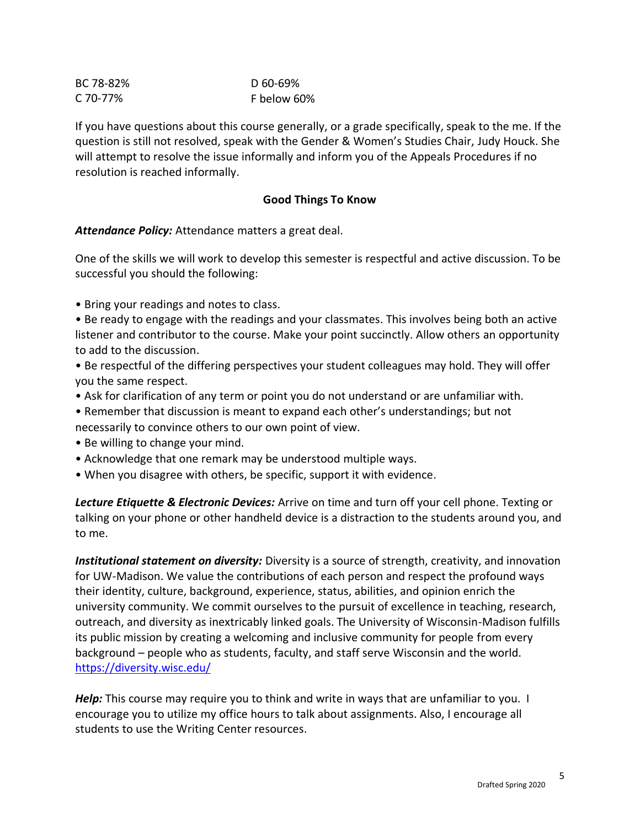| BC 78-82% | D 60-69%    |
|-----------|-------------|
| C 70-77%  | F below 60% |

If you have questions about this course generally, or a grade specifically, speak to the me. If the question is still not resolved, speak with the Gender & Women's Studies Chair, Judy Houck. She will attempt to resolve the issue informally and inform you of the Appeals Procedures if no resolution is reached informally.

### **Good Things To Know**

*Attendance Policy:* Attendance matters a great deal.

One of the skills we will work to develop this semester is respectful and active discussion. To be successful you should the following:

- Bring your readings and notes to class.
- Be ready to engage with the readings and your classmates. This involves being both an active listener and contributor to the course. Make your point succinctly. Allow others an opportunity to add to the discussion.
- Be respectful of the differing perspectives your student colleagues may hold. They will offer you the same respect.
- Ask for clarification of any term or point you do not understand or are unfamiliar with.
- Remember that discussion is meant to expand each other's understandings; but not
- necessarily to convince others to our own point of view.
- Be willing to change your mind.
- Acknowledge that one remark may be understood multiple ways.
- When you disagree with others, be specific, support it with evidence.

*Lecture Etiquette & Electronic Devices:* Arrive on time and turn off your cell phone. Texting or talking on your phone or other handheld device is a distraction to the students around you, and to me.

*Institutional statement on diversity:* Diversity is a source of strength, creativity, and innovation for UW-Madison. We value the contributions of each person and respect the profound ways their identity, culture, background, experience, status, abilities, and opinion enrich the university community. We commit ourselves to the pursuit of excellence in teaching, research, outreach, and diversity as inextricably linked goals. The University of Wisconsin-Madison fulfills its public mission by creating a welcoming and inclusive community for people from every background – people who as students, faculty, and staff serve Wisconsin and the world. <https://diversity.wisc.edu/>

*Help*: This course may require you to think and write in ways that are unfamiliar to you. I encourage you to utilize my office hours to talk about assignments. Also, I encourage all students to use the Writing Center resources.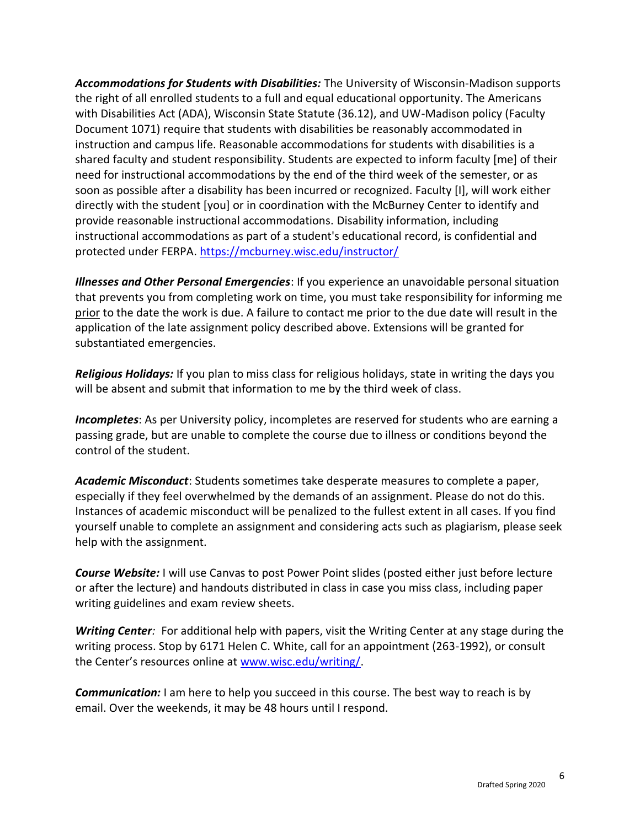*Accommodations for Students with Disabilities:* The University of Wisconsin-Madison supports the right of all enrolled students to a full and equal educational opportunity. The Americans with Disabilities Act (ADA), Wisconsin State Statute (36.12), and UW-Madison policy (Faculty Document 1071) require that students with disabilities be reasonably accommodated in instruction and campus life. Reasonable accommodations for students with disabilities is a shared faculty and student responsibility. Students are expected to inform faculty [me] of their need for instructional accommodations by the end of the third week of the semester, or as soon as possible after a disability has been incurred or recognized. Faculty [I], will work either directly with the student [you] or in coordination with the McBurney Center to identify and provide reasonable instructional accommodations. Disability information, including instructional accommodations as part of a student's educational record, is confidential and protected under FERPA.<https://mcburney.wisc.edu/instructor/>

*Illnesses and Other Personal Emergencies*: If you experience an unavoidable personal situation that prevents you from completing work on time, you must take responsibility for informing me prior to the date the work is due. A failure to contact me prior to the due date will result in the application of the late assignment policy described above. Extensions will be granted for substantiated emergencies.

*Religious Holidays:* If you plan to miss class for religious holidays, state in writing the days you will be absent and submit that information to me by the third week of class.

*Incompletes*: As per University policy, incompletes are reserved for students who are earning a passing grade, but are unable to complete the course due to illness or conditions beyond the control of the student.

*Academic Misconduct*: Students sometimes take desperate measures to complete a paper, especially if they feel overwhelmed by the demands of an assignment. Please do not do this. Instances of academic misconduct will be penalized to the fullest extent in all cases. If you find yourself unable to complete an assignment and considering acts such as plagiarism, please seek help with the assignment.

*Course Website:* I will use Canvas to post Power Point slides (posted either just before lecture or after the lecture) and handouts distributed in class in case you miss class, including paper writing guidelines and exam review sheets.

*Writing Center:* For additional help with papers, visit the Writing Center at any stage during the writing process. Stop by 6171 Helen C. White, call for an appointment (263-1992), or consult the Center's resources online at [www.wisc.edu/writing/.](http://www.wisc.edu/writing/)

*Communication:* I am here to help you succeed in this course. The best way to reach is by email. Over the weekends, it may be 48 hours until I respond.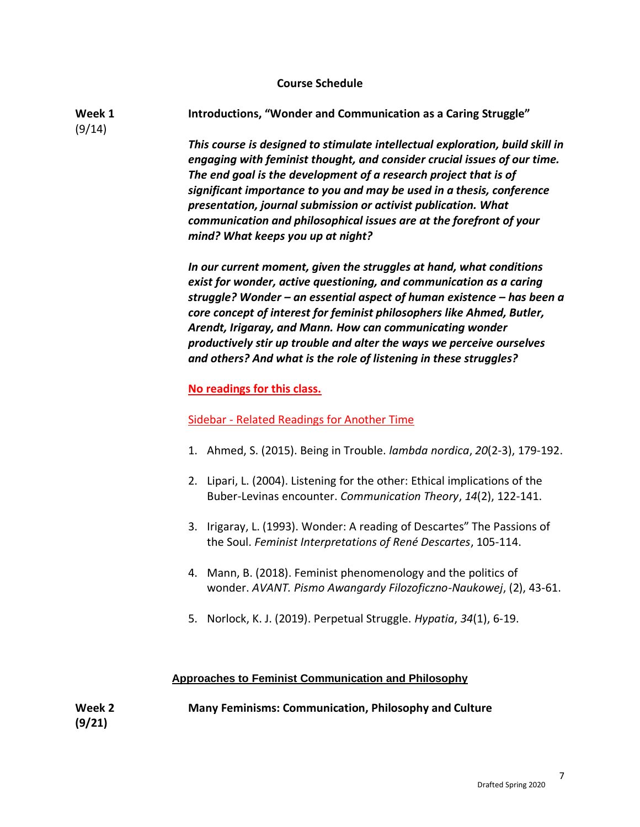# **Course Schedule**

| Week 1<br>(9/14) | Introductions, "Wonder and Communication as a Caring Struggle"                                                                                                                                                                                                                                                                                                                                                                                                                                           |
|------------------|----------------------------------------------------------------------------------------------------------------------------------------------------------------------------------------------------------------------------------------------------------------------------------------------------------------------------------------------------------------------------------------------------------------------------------------------------------------------------------------------------------|
|                  | This course is designed to stimulate intellectual exploration, build skill in<br>engaging with feminist thought, and consider crucial issues of our time.<br>The end goal is the development of a research project that is of<br>significant importance to you and may be used in a thesis, conference<br>presentation, journal submission or activist publication. What<br>communication and philosophical issues are at the forefront of your<br>mind? What keeps you up at night?                     |
|                  | In our current moment, given the struggles at hand, what conditions<br>exist for wonder, active questioning, and communication as a caring<br>struggle? Wonder - an essential aspect of human existence - has been a<br>core concept of interest for feminist philosophers like Ahmed, Butler,<br>Arendt, Irigaray, and Mann. How can communicating wonder<br>productively stir up trouble and alter the ways we perceive ourselves<br>and others? And what is the role of listening in these struggles? |
|                  | No readings for this class.                                                                                                                                                                                                                                                                                                                                                                                                                                                                              |
|                  | <b>Sidebar - Related Readings for Another Time</b>                                                                                                                                                                                                                                                                                                                                                                                                                                                       |
|                  | 1. Ahmed, S. (2015). Being in Trouble. lambda nordica, 20(2-3), 179-192.                                                                                                                                                                                                                                                                                                                                                                                                                                 |
|                  | 2. Lipari, L. (2004). Listening for the other: Ethical implications of the<br>Buber-Levinas encounter. Communication Theory, 14(2), 122-141.                                                                                                                                                                                                                                                                                                                                                             |
|                  | 3. Irigaray, L. (1993). Wonder: A reading of Descartes" The Passions of<br>the Soul. Feminist Interpretations of René Descartes, 105-114.                                                                                                                                                                                                                                                                                                                                                                |
|                  | 4. Mann, B. (2018). Feminist phenomenology and the politics of<br>wonder. AVANT. Pismo Awangardy Filozoficzno-Naukowej, (2), 43-61.                                                                                                                                                                                                                                                                                                                                                                      |
|                  | Norlock, K. J. (2019). Perpetual Struggle. Hypatia, 34(1), 6-19.<br>5.                                                                                                                                                                                                                                                                                                                                                                                                                                   |
|                  | <b>Approaches to Feminist Communication and Philosophy</b>                                                                                                                                                                                                                                                                                                                                                                                                                                               |
| Week 2<br>(9/21) | <b>Many Feminisms: Communication, Philosophy and Culture</b>                                                                                                                                                                                                                                                                                                                                                                                                                                             |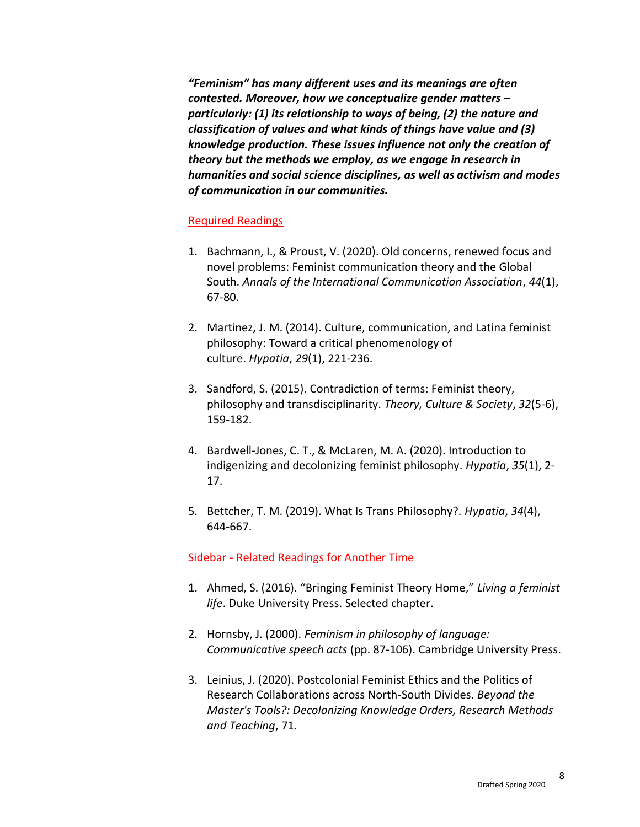*"Feminism" has many different uses and its meanings are often contested. Moreover, how we conceptualize gender matters – particularly: (1) its relationship to ways of being, (2) the nature and classification of values and what kinds of things have value and (3) knowledge production. These issues influence not only the creation of theory but the methods we employ, as we engage in research in humanities and social science disciplines, as well as activism and modes of communication in our communities.*

## Required Readings

- 1. Bachmann, I., & Proust, V. (2020). Old concerns, renewed focus and novel problems: Feminist communication theory and the Global South. *Annals of the International Communication Association*, *44*(1), 67-80.
- 2. Martinez, J. M. (2014). Culture, communication, and Latina feminist philosophy: Toward a critical phenomenology of culture. *Hypatia*, *29*(1), 221-236.
- 3. Sandford, S. (2015). Contradiction of terms: Feminist theory, philosophy and transdisciplinarity. *Theory, Culture & Society*, *32*(5-6), 159-182.
- 4. Bardwell-Jones, C. T., & McLaren, M. A. (2020). Introduction to indigenizing and decolonizing feminist philosophy. *Hypatia*, *35*(1), 2- 17.
- 5. Bettcher, T. M. (2019). What Is Trans Philosophy?. *Hypatia*, *34*(4), 644-667.

Sidebar - Related Readings for Another Time

- 1. Ahmed, S. (2016). "Bringing Feminist Theory Home," *Living a feminist life*. Duke University Press. Selected chapter.
- 2. Hornsby, J. (2000). *Feminism in philosophy of language: Communicative speech acts* (pp. 87-106). Cambridge University Press.
- 3. Leinius, J. (2020). Postcolonial Feminist Ethics and the Politics of Research Collaborations across North-South Divides. *Beyond the Master's Tools?: Decolonizing Knowledge Orders, Research Methods and Teaching*, 71.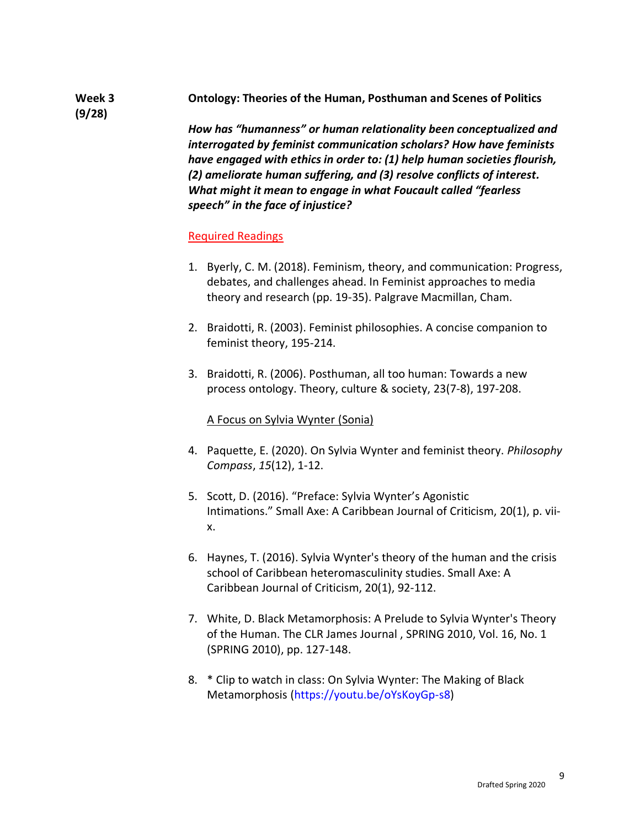| Week 3 | <b>Ontology: Theories of the Human, Posthuman and Scenes of Politics</b> |
|--------|--------------------------------------------------------------------------|
| (9/28) |                                                                          |

*How has "humanness" or human relationality been conceptualized and interrogated by feminist communication scholars? How have feminists have engaged with ethics in order to: (1) help human societies flourish, (2) ameliorate human suffering, and (3) resolve conflicts of interest. What might it mean to engage in what Foucault called "fearless speech" in the face of injustice?*

### Required Readings

- 1. Byerly, C. M. (2018). Feminism, theory, and communication: Progress, debates, and challenges ahead. In Feminist approaches to media theory and research (pp. 19-35). Palgrave Macmillan, Cham.
- 2. Braidotti, R. (2003). Feminist philosophies. A concise companion to feminist theory, 195-214.
- 3. Braidotti, R. (2006). Posthuman, all too human: Towards a new process ontology. Theory, culture & society, 23(7-8), 197-208.

### A Focus on Sylvia Wynter (Sonia)

- 4. Paquette, E. (2020). On Sylvia Wynter and feminist theory. *Philosophy Compass*, *15*(12), 1-12.
- 5. Scott, D. (2016). "Preface: Sylvia Wynter's Agonistic Intimations." Small Axe: A Caribbean Journal of Criticism, 20(1), p. viix.
- 6. Haynes, T. (2016). Sylvia Wynter's theory of the human and the crisis school of Caribbean heteromasculinity studies. Small Axe: A Caribbean Journal of Criticism, 20(1), 92-112.
- 7. White, D. Black Metamorphosis: A Prelude to Sylvia Wynter's Theory of the Human. The CLR James Journal , SPRING 2010, Vol. 16, No. 1 (SPRING 2010), pp. 127-148.
- 8. \* Clip to watch in class: On Sylvia Wynter: The Making of Black Metamorphosis [\(https://youtu.be/oYsKoyGp-s8\)](https://youtu.be/oYsKoyGp-s8)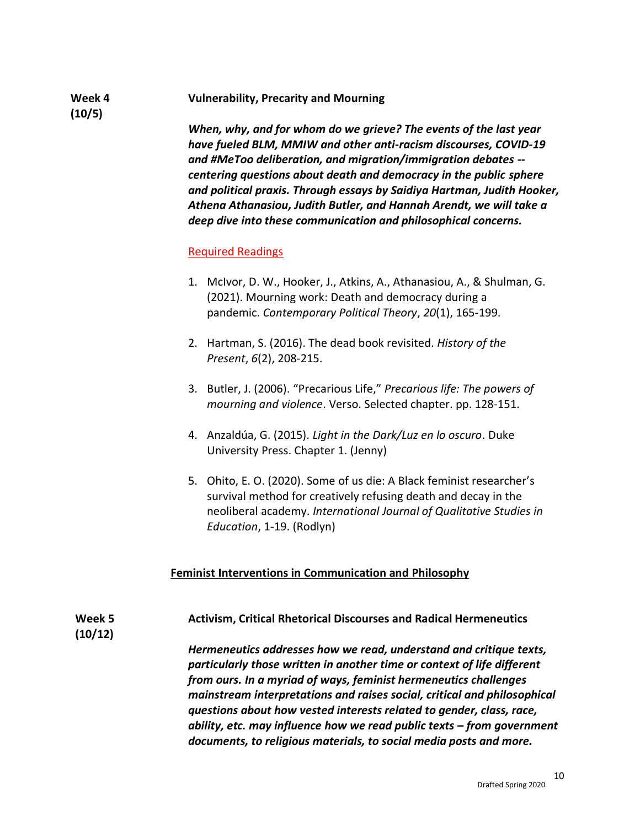| Week 4            | <b>Vulnerability, Precarity and Mourning</b>                                                                                                                                                                                                                                                                                                                                                                                                                                                                                 |  |  |  |
|-------------------|------------------------------------------------------------------------------------------------------------------------------------------------------------------------------------------------------------------------------------------------------------------------------------------------------------------------------------------------------------------------------------------------------------------------------------------------------------------------------------------------------------------------------|--|--|--|
| (10/5)            | When, why, and for whom do we grieve? The events of the last year<br>have fueled BLM, MMIW and other anti-racism discourses, COVID-19<br>and #MeToo deliberation, and migration/immigration debates --<br>centering questions about death and democracy in the public sphere<br>and political praxis. Through essays by Saidiya Hartman, Judith Hooker,<br>Athena Athanasiou, Judith Butler, and Hannah Arendt, we will take a<br>deep dive into these communication and philosophical concerns.<br><b>Required Readings</b> |  |  |  |
|                   |                                                                                                                                                                                                                                                                                                                                                                                                                                                                                                                              |  |  |  |
|                   | 1. McIvor, D. W., Hooker, J., Atkins, A., Athanasiou, A., & Shulman, G.<br>(2021). Mourning work: Death and democracy during a<br>pandemic. Contemporary Political Theory, 20(1), 165-199.                                                                                                                                                                                                                                                                                                                                   |  |  |  |
|                   | 2. Hartman, S. (2016). The dead book revisited. History of the<br>Present, 6(2), 208-215.                                                                                                                                                                                                                                                                                                                                                                                                                                    |  |  |  |
|                   | 3. Butler, J. (2006). "Precarious Life," Precarious life: The powers of<br>mourning and violence. Verso. Selected chapter. pp. 128-151.                                                                                                                                                                                                                                                                                                                                                                                      |  |  |  |
|                   | 4. Anzaldúa, G. (2015). Light in the Dark/Luz en lo oscuro. Duke<br>University Press. Chapter 1. (Jenny)                                                                                                                                                                                                                                                                                                                                                                                                                     |  |  |  |
|                   | 5. Ohito, E. O. (2020). Some of us die: A Black feminist researcher's<br>survival method for creatively refusing death and decay in the<br>neoliberal academy. International Journal of Qualitative Studies in<br>Education, 1-19. (Rodlyn)                                                                                                                                                                                                                                                                                  |  |  |  |
|                   | <b>Feminist Interventions in Communication and Philosophy</b>                                                                                                                                                                                                                                                                                                                                                                                                                                                                |  |  |  |
| Week 5<br>(10/12) | <b>Activism, Critical Rhetorical Discourses and Radical Hermeneutics</b>                                                                                                                                                                                                                                                                                                                                                                                                                                                     |  |  |  |
|                   | Hermeneutics addresses how we read, understand and critique texts,<br>particularly those written in another time or context of life different<br>from ours. In a myriad of ways, feminist hermeneutics challenges<br>mainstream interpretations and raises social, critical and philosophical<br>questions about how vested interests related to gender, class, race,<br>ability, etc. may influence how we read public texts $-$ from government<br>documents, to religious materials, to social media posts and more.      |  |  |  |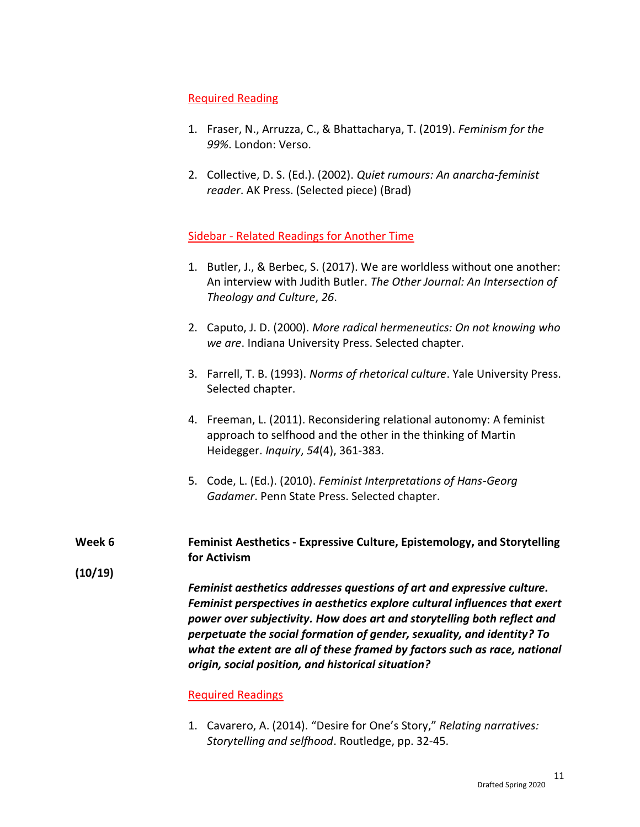## Required Reading

- 1. Fraser, N., Arruzza, C., & Bhattacharya, T. (2019). *Feminism for the 99%*. London: Verso.
- 2. Collective, D. S. (Ed.). (2002). *Quiet rumours: An anarcha-feminist reader*. AK Press. (Selected piece) (Brad)

## Sidebar - Related Readings for Another Time

- 1. Butler, J., & Berbec, S. (2017). We are worldless without one another: An interview with Judith Butler. *The Other Journal: An Intersection of Theology and Culture*, *26*.
- 2. Caputo, J. D. (2000). *More radical hermeneutics: On not knowing who we are*. Indiana University Press. Selected chapter.
- 3. Farrell, T. B. (1993). *Norms of rhetorical culture*. Yale University Press. Selected chapter.
- 4. Freeman, L. (2011). Reconsidering relational autonomy: A feminist approach to selfhood and the other in the thinking of Martin Heidegger. *Inquiry*, *54*(4), 361-383.
- 5. Code, L. (Ed.). (2010). *Feminist Interpretations of Hans-Georg Gadamer*. Penn State Press. Selected chapter.

# **Week 6 Feminist Aesthetics - Expressive Culture, Epistemology, and Storytelling for Activism**

**(10/19)**

*Feminist aesthetics addresses questions of art and expressive culture. Feminist perspectives in aesthetics explore cultural influences that exert power over subjectivity. How does art and storytelling both reflect and perpetuate the social formation of gender, sexuality, and identity? To what the extent are all of these framed by factors such as race, national origin, social position, and historical situation?* 

### Required Readings

1. Cavarero, A. (2014). "Desire for One's Story," *Relating narratives: Storytelling and selfhood*. Routledge, pp. 32-45.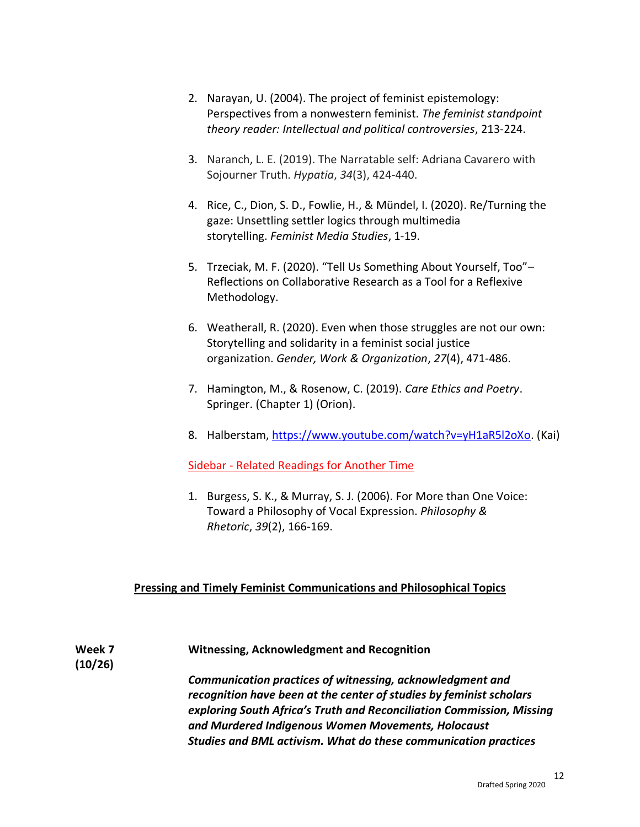- 2. Narayan, U. (2004). The project of feminist epistemology: Perspectives from a nonwestern feminist. *The feminist standpoint theory reader: Intellectual and political controversies*, 213-224.
- 3. Naranch, L. E. (2019). The Narratable self: Adriana Cavarero with Sojourner Truth. *Hypatia*, *34*(3), 424-440.
- 4. Rice, C., Dion, S. D., Fowlie, H., & Mündel, I. (2020). Re/Turning the gaze: Unsettling settler logics through multimedia storytelling. *Feminist Media Studies*, 1-19.
- 5. Trzeciak, M. F. (2020). "Tell Us Something About Yourself, Too"– Reflections on Collaborative Research as a Tool for a Reflexive Methodology.
- 6. Weatherall, R. (2020). Even when those struggles are not our own: Storytelling and solidarity in a feminist social justice organization. *Gender, Work & Organization*, *27*(4), 471-486.
- 7. Hamington, M., & Rosenow, C. (2019). *Care Ethics and Poetry*. Springer. (Chapter 1) (Orion).
- 8. Halberstam, [https://www.youtube.com/watch?v=yH1aR5l2oXo.](https://www.youtube.com/watch?v=yH1aR5l2oXo) (Kai)

Sidebar - Related Readings for Another Time

1. Burgess, S. K., & Murray, S. J. (2006). For More than One Voice: Toward a Philosophy of Vocal Expression. *Philosophy & Rhetoric*, *39*(2), 166-169.

# **Pressing and Timely Feminist Communications and Philosophical Topics**

**Week 7 Witnessing, Acknowledgment and Recognition (10/26)** *Communication practices of witnessing, acknowledgment and recognition have been at the center of studies by feminist scholars exploring South Africa's Truth and Reconciliation Commission, Missing and Murdered Indigenous Women Movements, Holocaust Studies and BML activism. What do these communication practices*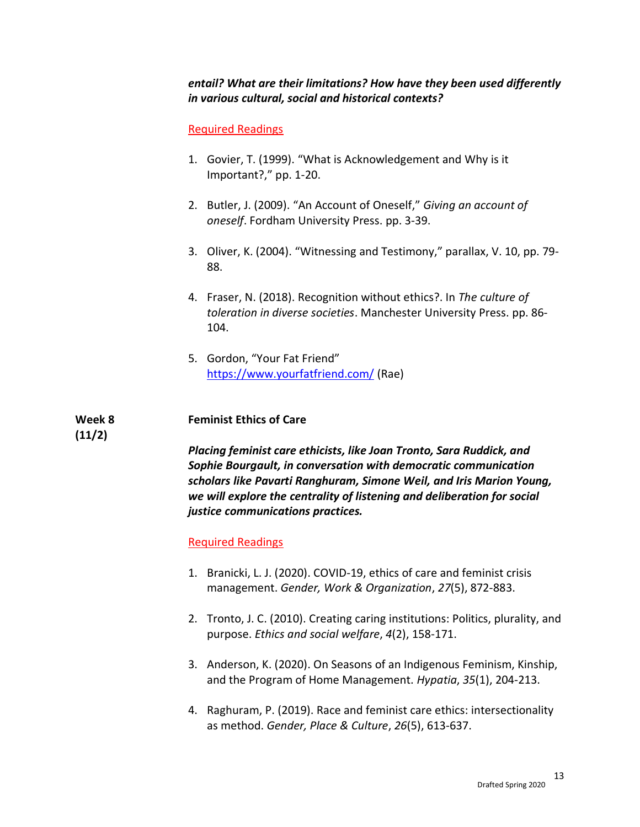*entail? What are their limitations? How have they been used differently in various cultural, social and historical contexts?*

### Required Readings

- 1. Govier, T. (1999). "What is Acknowledgement and Why is it Important?," pp. 1-20.
- 2. Butler, J. (2009). "An Account of Oneself," *Giving an account of oneself*. Fordham University Press. pp. 3-39.
- 3. Oliver, K. (2004). "Witnessing and Testimony," parallax, V. 10, pp. 79- 88.
- 4. Fraser, N. (2018). Recognition without ethics?. In *The culture of toleration in diverse societies*. Manchester University Press. pp. 86- 104.
- 5. Gordon, "Your Fat Friend" <https://www.yourfatfriend.com/> (Rae)

#### **Week 8 Feminist Ethics of Care**

**(11/2)**

*Placing feminist care ethicists, like Joan Tronto, Sara Ruddick, and Sophie Bourgault, in conversation with democratic communication scholars like Pavarti Ranghuram, Simone Weil, and Iris Marion Young, we will explore the centrality of listening and deliberation for social justice communications practices.*

Required Readings

- 1. Branicki, L. J. (2020). COVID‐19, ethics of care and feminist crisis management. *Gender, Work & Organization*, *27*(5), 872-883.
- 2. Tronto, J. C. (2010). Creating caring institutions: Politics, plurality, and purpose. *Ethics and social welfare*, *4*(2), 158-171.
- 3. Anderson, K. (2020). On Seasons of an Indigenous Feminism, Kinship, and the Program of Home Management. *Hypatia*, *35*(1), 204-213.
- 4. Raghuram, P. (2019). Race and feminist care ethics: intersectionality as method. *Gender, Place & Culture*, *26*(5), 613-637.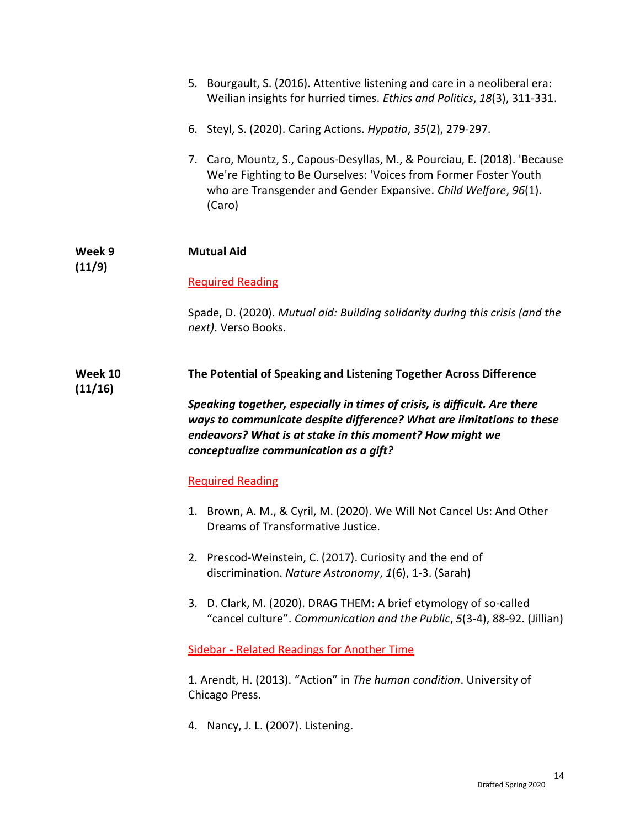|                    | 5. Bourgault, S. (2016). Attentive listening and care in a neoliberal era:<br>Weilian insights for hurried times. Ethics and Politics, 18(3), 311-331.                                                                                                   |  |  |
|--------------------|----------------------------------------------------------------------------------------------------------------------------------------------------------------------------------------------------------------------------------------------------------|--|--|
|                    | 6. Steyl, S. (2020). Caring Actions. Hypatia, 35(2), 279-297.                                                                                                                                                                                            |  |  |
|                    | 7. Caro, Mountz, S., Capous-Desyllas, M., & Pourciau, E. (2018). 'Because<br>We're Fighting to Be Ourselves: 'Voices from Former Foster Youth<br>who are Transgender and Gender Expansive. Child Welfare, 96(1).<br>(Caro)                               |  |  |
| Week 9             | <b>Mutual Aid</b>                                                                                                                                                                                                                                        |  |  |
| (11/9)             | <b>Required Reading</b>                                                                                                                                                                                                                                  |  |  |
|                    | Spade, D. (2020). Mutual aid: Building solidarity during this crisis (and the<br>next). Verso Books.                                                                                                                                                     |  |  |
| Week 10<br>(11/16) | The Potential of Speaking and Listening Together Across Difference                                                                                                                                                                                       |  |  |
|                    | Speaking together, especially in times of crisis, is difficult. Are there<br>ways to communicate despite difference? What are limitations to these<br>endeavors? What is at stake in this moment? How might we<br>conceptualize communication as a gift? |  |  |
|                    | <b>Required Reading</b>                                                                                                                                                                                                                                  |  |  |
|                    | 1. Brown, A. M., & Cyril, M. (2020). We Will Not Cancel Us: And Other<br>Dreams of Transformative Justice.                                                                                                                                               |  |  |
|                    | 2. Prescod-Weinstein, C. (2017). Curiosity and the end of<br>discrimination. Nature Astronomy, 1(6), 1-3. (Sarah)                                                                                                                                        |  |  |
|                    | 3. D. Clark, M. (2020). DRAG THEM: A brief etymology of so-called<br>"cancel culture". Communication and the Public, 5(3-4), 88-92. (Jillian)                                                                                                            |  |  |
|                    | Sidebar - Related Readings for Another Time                                                                                                                                                                                                              |  |  |
|                    | 1. Arendt, H. (2013). "Action" in The human condition. University of<br>Chicago Press.                                                                                                                                                                   |  |  |
|                    | 4. Nancy, J. L. (2007). Listening.                                                                                                                                                                                                                       |  |  |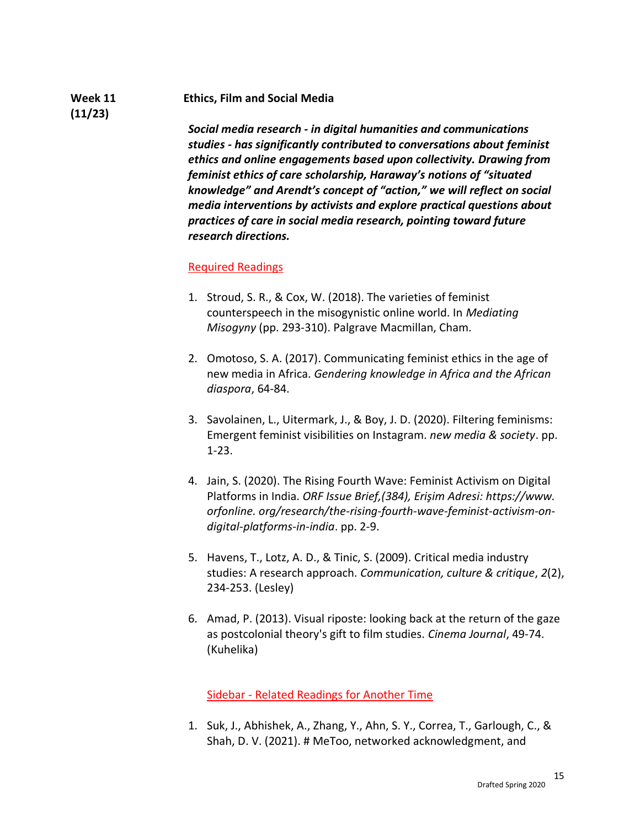| Week 11<br>(11/23) | <b>Ethics, Film and Social Media</b>                                                                                                                                                                               |
|--------------------|--------------------------------------------------------------------------------------------------------------------------------------------------------------------------------------------------------------------|
|                    | Social media research - in digital humanities and communications<br>studies - has significantly contributed to conversations about feminist<br>ethics and online engagements based upon collectivity. Drawing from |
|                    | feminist ethics of care scholarship, Haraway's notions of "situated                                                                                                                                                |

*knowledge" and Arendt's concept of "action," we will reflect on social media interventions by activists and explore practical questions about practices of care in social media research, pointing toward future research directions.* 

### Required Readings

- 1. Stroud, S. R., & Cox, W. (2018). The varieties of feminist counterspeech in the misogynistic online world. In *Mediating Misogyny* (pp. 293-310). Palgrave Macmillan, Cham.
- 2. Omotoso, S. A. (2017). Communicating feminist ethics in the age of new media in Africa. *Gendering knowledge in Africa and the African diaspora*, 64-84.
- 3. Savolainen, L., Uitermark, J., & Boy, J. D. (2020). Filtering feminisms: Emergent feminist visibilities on Instagram. *new media & society*. pp. 1-23.
- 4. Jain, S. (2020). The Rising Fourth Wave: Feminist Activism on Digital Platforms in India. *ORF Issue Brief,(384), Erişim Adresi: https://www. orfonline. org/research/the-rising-fourth-wave-feminist-activism-ondigital-platforms-in-india*. pp. 2-9.
- 5. Havens, T., Lotz, A. D., & Tinic, S. (2009). Critical media industry studies: A research approach. *Communication, culture & critique*, *2*(2), 234-253. (Lesley)
- 6. Amad, P. (2013). Visual riposte: looking back at the return of the gaze as postcolonial theory's gift to film studies. *Cinema Journal*, 49-74. (Kuhelika)

Sidebar - Related Readings for Another Time

1. Suk, J., Abhishek, A., Zhang, Y., Ahn, S. Y., Correa, T., Garlough, C., & Shah, D. V. (2021). # MeToo, networked acknowledgment, and